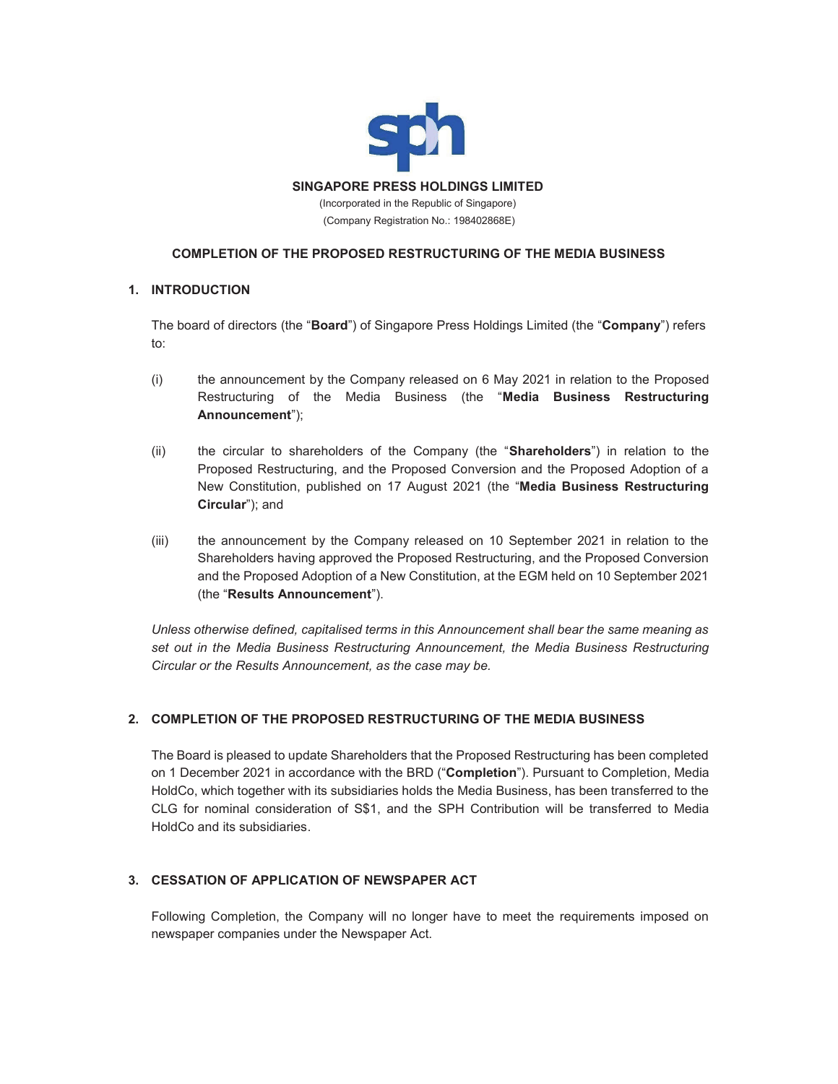

## **COMPLETION OF THE PROPOSED RESTRUCTURING OF THE MEDIA BUSINESS**

### **1. INTRODUCTION**

The board of directors (the "**Board**") of Singapore Press Holdings Limited (the "**Company**") refers to:

- (i) the announcement by the Company released on 6 May 2021 in relation to the Proposed Restructuring of the Media Business (the "**Media Business Restructuring Announcement**");
- (ii) the circular to shareholders of the Company (the "**Shareholders**") in relation to the Proposed Restructuring, and the Proposed Conversion and the Proposed Adoption of a New Constitution, published on 17 August 2021 (the "**Media Business Restructuring Circular**"); and
- (iii) the announcement by the Company released on 10 September 2021 in relation to the Shareholders having approved the Proposed Restructuring, and the Proposed Conversion and the Proposed Adoption of a New Constitution, at the EGM held on 10 September 2021 (the "**Results Announcement**").

*Unless otherwise defined, capitalised terms in this Announcement shall bear the same meaning as set out in the Media Business Restructuring Announcement, the Media Business Restructuring Circular or the Results Announcement, as the case may be.* 

# **2. COMPLETION OF THE PROPOSED RESTRUCTURING OF THE MEDIA BUSINESS**

The Board is pleased to update Shareholders that the Proposed Restructuring has been completed on 1 December 2021 in accordance with the BRD ("**Completion**"). Pursuant to Completion, Media HoldCo, which together with its subsidiaries holds the Media Business, has been transferred to the CLG for nominal consideration of S\$1, and the SPH Contribution will be transferred to Media HoldCo and its subsidiaries.

# **3. CESSATION OF APPLICATION OF NEWSPAPER ACT**

Following Completion, the Company will no longer have to meet the requirements imposed on newspaper companies under the Newspaper Act.